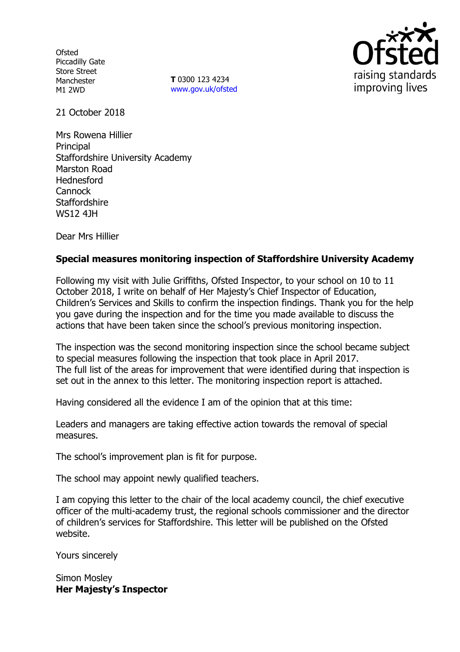**Ofsted** Piccadilly Gate Store Street Manchester M1 2WD

**T** 0300 123 4234 www.gov.uk/ofsted



21 October 2018

Mrs Rowena Hillier Principal Staffordshire University Academy Marston Road Hednesford **Cannock Staffordshire** WS12 4JH

Dear Mrs Hillier

# **Special measures monitoring inspection of Staffordshire University Academy**

Following my visit with Julie Griffiths, Ofsted Inspector, to your school on 10 to 11 October 2018, I write on behalf of Her Majesty's Chief Inspector of Education, Children's Services and Skills to confirm the inspection findings. Thank you for the help you gave during the inspection and for the time you made available to discuss the actions that have been taken since the school's previous monitoring inspection.

The inspection was the second monitoring inspection since the school became subject to special measures following the inspection that took place in April 2017. The full list of the areas for improvement that were identified during that inspection is set out in the annex to this letter. The monitoring inspection report is attached.

Having considered all the evidence I am of the opinion that at this time:

Leaders and managers are taking effective action towards the removal of special measures.

The school's improvement plan is fit for purpose.

The school may appoint newly qualified teachers.

I am copying this letter to the chair of the local academy council, the chief executive officer of the multi-academy trust, the regional schools commissioner and the director of children's services for Staffordshire. This letter will be published on the Ofsted website.

Yours sincerely

Simon Mosley **Her Majesty's Inspector**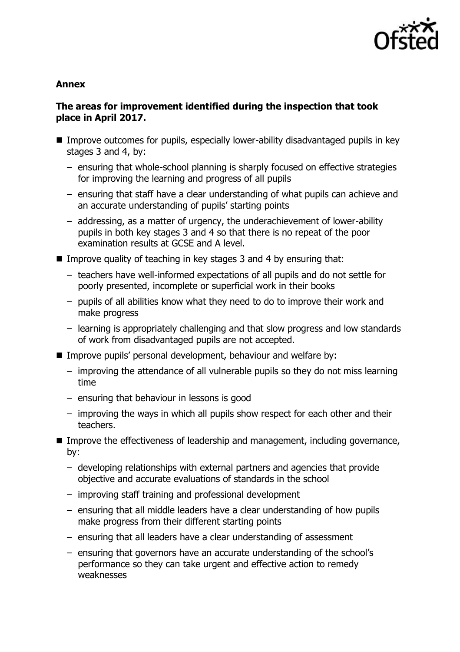

### **Annex**

# **The areas for improvement identified during the inspection that took place in April 2017.**

- Improve outcomes for pupils, especially lower-ability disadvantaged pupils in key stages 3 and 4, by:
	- ensuring that whole-school planning is sharply focused on effective strategies for improving the learning and progress of all pupils
	- ensuring that staff have a clear understanding of what pupils can achieve and an accurate understanding of pupils' starting points
	- addressing, as a matter of urgency, the underachievement of lower-ability pupils in both key stages 3 and 4 so that there is no repeat of the poor examination results at GCSE and A level.
- Improve quality of teaching in key stages 3 and 4 by ensuring that:
	- teachers have well-informed expectations of all pupils and do not settle for poorly presented, incomplete or superficial work in their books
	- pupils of all abilities know what they need to do to improve their work and make progress
	- learning is appropriately challenging and that slow progress and low standards of work from disadvantaged pupils are not accepted.
- **IMPROVE pupils' personal development, behaviour and welfare by:** 
	- improving the attendance of all vulnerable pupils so they do not miss learning time
	- ensuring that behaviour in lessons is good
	- improving the ways in which all pupils show respect for each other and their teachers.
- Improve the effectiveness of leadership and management, including governance, by:
	- developing relationships with external partners and agencies that provide objective and accurate evaluations of standards in the school
	- improving staff training and professional development
	- ensuring that all middle leaders have a clear understanding of how pupils make progress from their different starting points
	- ensuring that all leaders have a clear understanding of assessment
	- ensuring that governors have an accurate understanding of the school's performance so they can take urgent and effective action to remedy weaknesses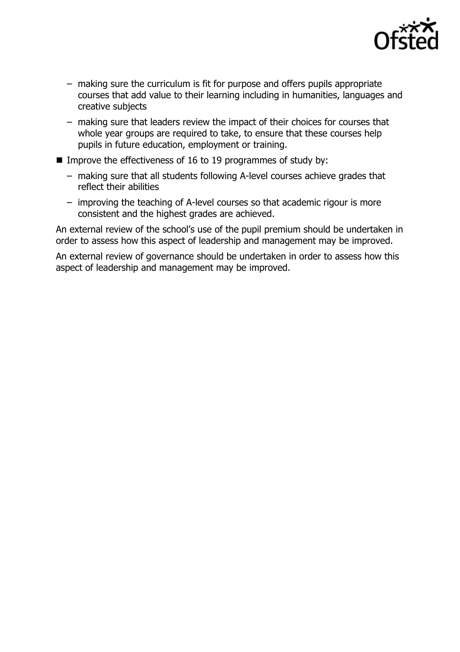

- making sure the curriculum is fit for purpose and offers pupils appropriate courses that add value to their learning including in humanities, languages and creative subjects
- making sure that leaders review the impact of their choices for courses that whole year groups are required to take, to ensure that these courses help pupils in future education, employment or training.
- Improve the effectiveness of 16 to 19 programmes of study by:
	- making sure that all students following A-level courses achieve grades that reflect their abilities
	- improving the teaching of A-level courses so that academic rigour is more consistent and the highest grades are achieved.

An external review of the school's use of the pupil premium should be undertaken in order to assess how this aspect of leadership and management may be improved.

An external review of governance should be undertaken in order to assess how this aspect of leadership and management may be improved.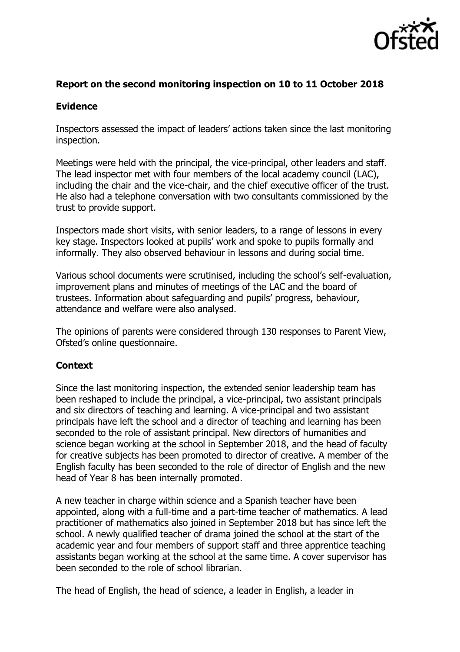

### **Report on the second monitoring inspection on 10 to 11 October 2018**

#### **Evidence**

Inspectors assessed the impact of leaders' actions taken since the last monitoring inspection.

Meetings were held with the principal, the vice-principal, other leaders and staff. The lead inspector met with four members of the local academy council (LAC), including the chair and the vice-chair, and the chief executive officer of the trust. He also had a telephone conversation with two consultants commissioned by the trust to provide support.

Inspectors made short visits, with senior leaders, to a range of lessons in every key stage. Inspectors looked at pupils' work and spoke to pupils formally and informally. They also observed behaviour in lessons and during social time.

Various school documents were scrutinised, including the school's self-evaluation, improvement plans and minutes of meetings of the LAC and the board of trustees. Information about safeguarding and pupils' progress, behaviour, attendance and welfare were also analysed.

The opinions of parents were considered through 130 responses to Parent View, Ofsted's online questionnaire.

# **Context**

Since the last monitoring inspection, the extended senior leadership team has been reshaped to include the principal, a vice-principal, two assistant principals and six directors of teaching and learning. A vice-principal and two assistant principals have left the school and a director of teaching and learning has been seconded to the role of assistant principal. New directors of humanities and science began working at the school in September 2018, and the head of faculty for creative subjects has been promoted to director of creative. A member of the English faculty has been seconded to the role of director of English and the new head of Year 8 has been internally promoted.

A new teacher in charge within science and a Spanish teacher have been appointed, along with a full-time and a part-time teacher of mathematics. A lead practitioner of mathematics also joined in September 2018 but has since left the school. A newly qualified teacher of drama joined the school at the start of the academic year and four members of support staff and three apprentice teaching assistants began working at the school at the same time. A cover supervisor has been seconded to the role of school librarian.

The head of English, the head of science, a leader in English, a leader in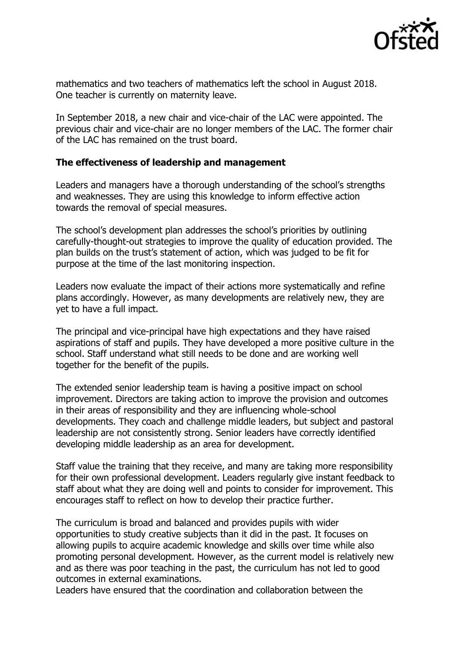

mathematics and two teachers of mathematics left the school in August 2018. One teacher is currently on maternity leave.

In September 2018, a new chair and vice-chair of the LAC were appointed. The previous chair and vice-chair are no longer members of the LAC. The former chair of the LAC has remained on the trust board.

#### **The effectiveness of leadership and management**

Leaders and managers have a thorough understanding of the school's strengths and weaknesses. They are using this knowledge to inform effective action towards the removal of special measures.

The school's development plan addresses the school's priorities by outlining carefully-thought-out strategies to improve the quality of education provided. The plan builds on the trust's statement of action, which was judged to be fit for purpose at the time of the last monitoring inspection.

Leaders now evaluate the impact of their actions more systematically and refine plans accordingly. However, as many developments are relatively new, they are yet to have a full impact.

The principal and vice-principal have high expectations and they have raised aspirations of staff and pupils. They have developed a more positive culture in the school. Staff understand what still needs to be done and are working well together for the benefit of the pupils.

The extended senior leadership team is having a positive impact on school improvement. Directors are taking action to improve the provision and outcomes in their areas of responsibility and they are influencing whole-school developments. They coach and challenge middle leaders, but subject and pastoral leadership are not consistently strong. Senior leaders have correctly identified developing middle leadership as an area for development.

Staff value the training that they receive, and many are taking more responsibility for their own professional development. Leaders regularly give instant feedback to staff about what they are doing well and points to consider for improvement. This encourages staff to reflect on how to develop their practice further.

The curriculum is broad and balanced and provides pupils with wider opportunities to study creative subjects than it did in the past. It focuses on allowing pupils to acquire academic knowledge and skills over time while also promoting personal development. However, as the current model is relatively new and as there was poor teaching in the past, the curriculum has not led to good outcomes in external examinations.

Leaders have ensured that the coordination and collaboration between the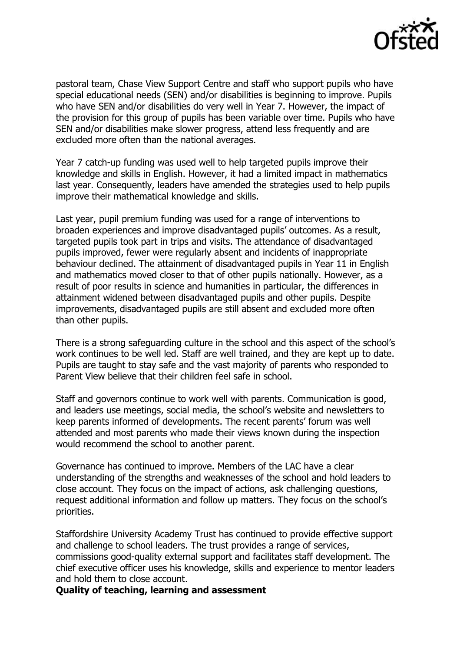

pastoral team, Chase View Support Centre and staff who support pupils who have special educational needs (SEN) and/or disabilities is beginning to improve. Pupils who have SEN and/or disabilities do very well in Year 7. However, the impact of the provision for this group of pupils has been variable over time. Pupils who have SEN and/or disabilities make slower progress, attend less frequently and are excluded more often than the national averages.

Year 7 catch-up funding was used well to help targeted pupils improve their knowledge and skills in English. However, it had a limited impact in mathematics last year. Consequently, leaders have amended the strategies used to help pupils improve their mathematical knowledge and skills.

Last year, pupil premium funding was used for a range of interventions to broaden experiences and improve disadvantaged pupils' outcomes. As a result, targeted pupils took part in trips and visits. The attendance of disadvantaged pupils improved, fewer were regularly absent and incidents of inappropriate behaviour declined. The attainment of disadvantaged pupils in Year 11 in English and mathematics moved closer to that of other pupils nationally. However, as a result of poor results in science and humanities in particular, the differences in attainment widened between disadvantaged pupils and other pupils. Despite improvements, disadvantaged pupils are still absent and excluded more often than other pupils.

There is a strong safeguarding culture in the school and this aspect of the school's work continues to be well led. Staff are well trained, and they are kept up to date. Pupils are taught to stay safe and the vast majority of parents who responded to Parent View believe that their children feel safe in school.

Staff and governors continue to work well with parents. Communication is good, and leaders use meetings, social media, the school's website and newsletters to keep parents informed of developments. The recent parents' forum was well attended and most parents who made their views known during the inspection would recommend the school to another parent.

Governance has continued to improve. Members of the LAC have a clear understanding of the strengths and weaknesses of the school and hold leaders to close account. They focus on the impact of actions, ask challenging questions, request additional information and follow up matters. They focus on the school's priorities.

Staffordshire University Academy Trust has continued to provide effective support and challenge to school leaders. The trust provides a range of services, commissions good-quality external support and facilitates staff development. The chief executive officer uses his knowledge, skills and experience to mentor leaders and hold them to close account.

**Quality of teaching, learning and assessment**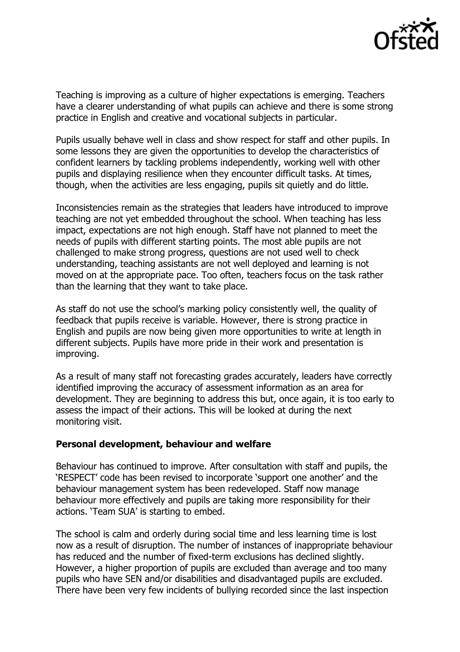

Teaching is improving as a culture of higher expectations is emerging. Teachers have a clearer understanding of what pupils can achieve and there is some strong practice in English and creative and vocational subjects in particular.

Pupils usually behave well in class and show respect for staff and other pupils. In some lessons they are given the opportunities to develop the characteristics of confident learners by tackling problems independently, working well with other pupils and displaying resilience when they encounter difficult tasks. At times, though, when the activities are less engaging, pupils sit quietly and do little.

Inconsistencies remain as the strategies that leaders have introduced to improve teaching are not yet embedded throughout the school. When teaching has less impact, expectations are not high enough. Staff have not planned to meet the needs of pupils with different starting points. The most able pupils are not challenged to make strong progress, questions are not used well to check understanding, teaching assistants are not well deployed and learning is not moved on at the appropriate pace. Too often, teachers focus on the task rather than the learning that they want to take place.

As staff do not use the school's marking policy consistently well, the quality of feedback that pupils receive is variable. However, there is strong practice in English and pupils are now being given more opportunities to write at length in different subjects. Pupils have more pride in their work and presentation is improving.

As a result of many staff not forecasting grades accurately, leaders have correctly identified improving the accuracy of assessment information as an area for development. They are beginning to address this but, once again, it is too early to assess the impact of their actions. This will be looked at during the next monitoring visit.

#### **Personal development, behaviour and welfare**

Behaviour has continued to improve. After consultation with staff and pupils, the 'RESPECT' code has been revised to incorporate 'support one another' and the behaviour management system has been redeveloped. Staff now manage behaviour more effectively and pupils are taking more responsibility for their actions. 'Team SUA' is starting to embed.

The school is calm and orderly during social time and less learning time is lost now as a result of disruption. The number of instances of inappropriate behaviour has reduced and the number of fixed-term exclusions has declined slightly. However, a higher proportion of pupils are excluded than average and too many pupils who have SEN and/or disabilities and disadvantaged pupils are excluded. There have been very few incidents of bullying recorded since the last inspection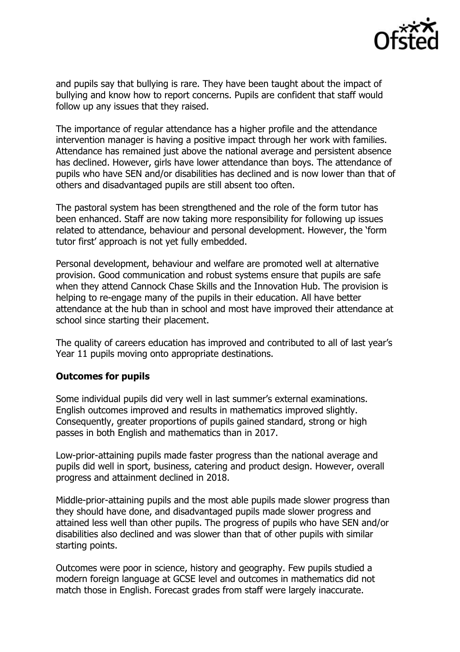

and pupils say that bullying is rare. They have been taught about the impact of bullying and know how to report concerns. Pupils are confident that staff would follow up any issues that they raised.

The importance of regular attendance has a higher profile and the attendance intervention manager is having a positive impact through her work with families. Attendance has remained just above the national average and persistent absence has declined. However, girls have lower attendance than boys. The attendance of pupils who have SEN and/or disabilities has declined and is now lower than that of others and disadvantaged pupils are still absent too often.

The pastoral system has been strengthened and the role of the form tutor has been enhanced. Staff are now taking more responsibility for following up issues related to attendance, behaviour and personal development. However, the 'form tutor first' approach is not yet fully embedded.

Personal development, behaviour and welfare are promoted well at alternative provision. Good communication and robust systems ensure that pupils are safe when they attend Cannock Chase Skills and the Innovation Hub. The provision is helping to re-engage many of the pupils in their education. All have better attendance at the hub than in school and most have improved their attendance at school since starting their placement.

The quality of careers education has improved and contributed to all of last year's Year 11 pupils moving onto appropriate destinations.

# **Outcomes for pupils**

Some individual pupils did very well in last summer's external examinations. English outcomes improved and results in mathematics improved slightly. Consequently, greater proportions of pupils gained standard, strong or high passes in both English and mathematics than in 2017.

Low-prior-attaining pupils made faster progress than the national average and pupils did well in sport, business, catering and product design. However, overall progress and attainment declined in 2018.

Middle-prior-attaining pupils and the most able pupils made slower progress than they should have done, and disadvantaged pupils made slower progress and attained less well than other pupils. The progress of pupils who have SEN and/or disabilities also declined and was slower than that of other pupils with similar starting points.

Outcomes were poor in science, history and geography. Few pupils studied a modern foreign language at GCSE level and outcomes in mathematics did not match those in English. Forecast grades from staff were largely inaccurate.